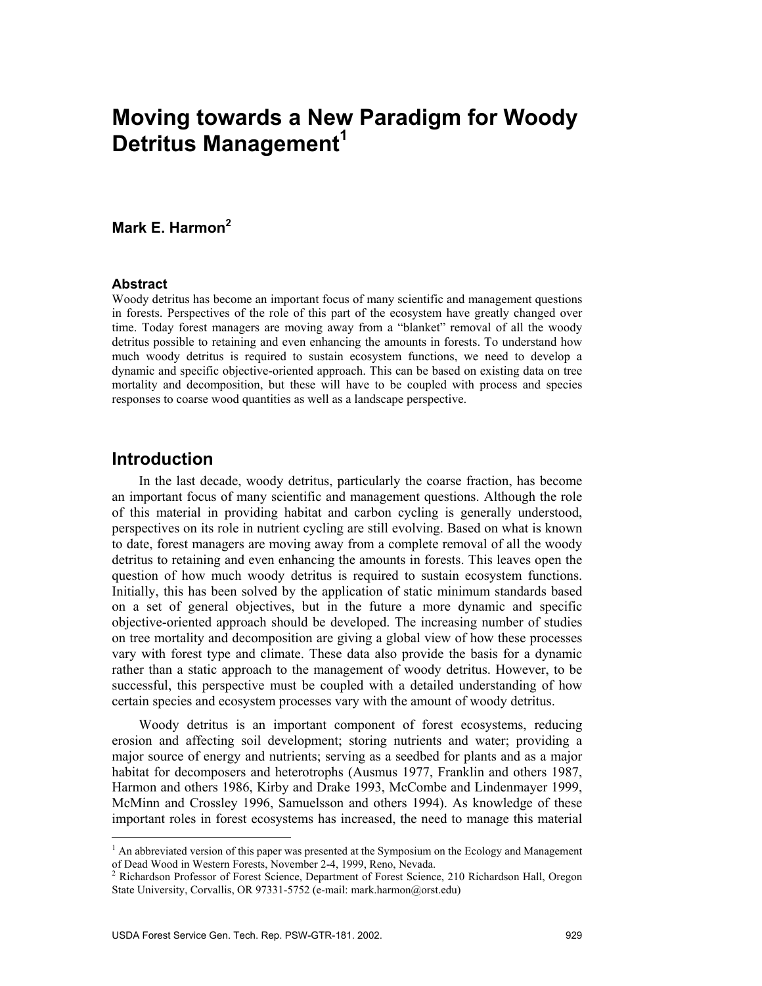# **Moving towards a New Paradigm for Woody Detritus Management<sup>1</sup>**

# **Mark E. Harmon2**

#### **Abstract**

Woody detritus has become an important focus of many scientific and management questions in forests. Perspectives of the role of this part of the ecosystem have greatly changed over time. Today forest managers are moving away from a "blanket" removal of all the woody detritus possible to retaining and even enhancing the amounts in forests. To understand how much woody detritus is required to sustain ecosystem functions, we need to develop a dynamic and specific objective-oriented approach. This can be based on existing data on tree mortality and decomposition, but these will have to be coupled with process and species responses to coarse wood quantities as well as a landscape perspective.

# **Introduction**

 $\overline{a}$ 

In the last decade, woody detritus, particularly the coarse fraction, has become an important focus of many scientific and management questions. Although the role of this material in providing habitat and carbon cycling is generally understood, perspectives on its role in nutrient cycling are still evolving. Based on what is known to date, forest managers are moving away from a complete removal of all the woody detritus to retaining and even enhancing the amounts in forests. This leaves open the question of how much woody detritus is required to sustain ecosystem functions. Initially, this has been solved by the application of static minimum standards based on a set of general objectives, but in the future a more dynamic and specific objective-oriented approach should be developed. The increasing number of studies on tree mortality and decomposition are giving a global view of how these processes vary with forest type and climate. These data also provide the basis for a dynamic rather than a static approach to the management of woody detritus. However, to be successful, this perspective must be coupled with a detailed understanding of how certain species and ecosystem processes vary with the amount of woody detritus.

Woody detritus is an important component of forest ecosystems, reducing erosion and affecting soil development; storing nutrients and water; providing a major source of energy and nutrients; serving as a seedbed for plants and as a major habitat for decomposers and heterotrophs (Ausmus 1977, Franklin and others 1987, Harmon and others 1986, Kirby and Drake 1993, McCombe and Lindenmayer 1999, McMinn and Crossley 1996, Samuelsson and others 1994). As knowledge of these important roles in forest ecosystems has increased, the need to manage this material

<sup>&</sup>lt;sup>1</sup> An abbreviated version of this paper was presented at the Symposium on the Ecology and Management of Dead Wood in Western Forests, November 2-4, 1999, Reno, Nevada.<br><sup>2</sup> Richardson Professor of Forest Science, Department of Forest Science, 210 Richardson Hall, Oregon

State University, Corvallis, OR 97331-5752 (e-mail: mark.harmon@orst.edu)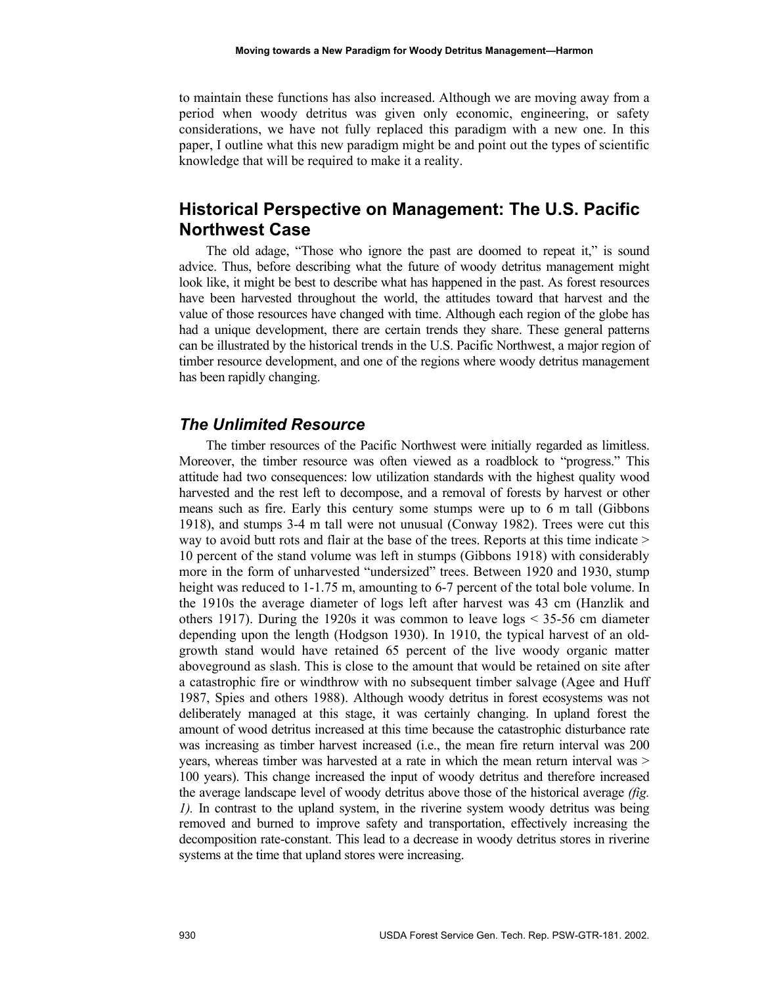to maintain these functions has also increased. Although we are moving away from a period when woody detritus was given only economic, engineering, or safety considerations, we have not fully replaced this paradigm with a new one. In this paper, I outline what this new paradigm might be and point out the types of scientific knowledge that will be required to make it a reality.

# **Historical Perspective on Management: The U.S. Pacific Northwest Case**

The old adage, "Those who ignore the past are doomed to repeat it," is sound advice. Thus, before describing what the future of woody detritus management might look like, it might be best to describe what has happened in the past. As forest resources have been harvested throughout the world, the attitudes toward that harvest and the value of those resources have changed with time. Although each region of the globe has had a unique development, there are certain trends they share. These general patterns can be illustrated by the historical trends in the U.S. Pacific Northwest, a major region of timber resource development, and one of the regions where woody detritus management has been rapidly changing.

#### *The Unlimited Resource*

The timber resources of the Pacific Northwest were initially regarded as limitless. Moreover, the timber resource was often viewed as a roadblock to "progress." This attitude had two consequences: low utilization standards with the highest quality wood harvested and the rest left to decompose, and a removal of forests by harvest or other means such as fire. Early this century some stumps were up to 6 m tall (Gibbons 1918), and stumps 3-4 m tall were not unusual (Conway 1982). Trees were cut this way to avoid butt rots and flair at the base of the trees. Reports at this time indicate > 10 percent of the stand volume was left in stumps (Gibbons 1918) with considerably more in the form of unharvested "undersized" trees. Between 1920 and 1930, stump height was reduced to 1-1.75 m, amounting to 6-7 percent of the total bole volume. In the 1910s the average diameter of logs left after harvest was 43 cm (Hanzlik and others 1917). During the 1920s it was common to leave logs < 35-56 cm diameter depending upon the length (Hodgson 1930). In 1910, the typical harvest of an oldgrowth stand would have retained 65 percent of the live woody organic matter aboveground as slash. This is close to the amount that would be retained on site after a catastrophic fire or windthrow with no subsequent timber salvage (Agee and Huff 1987, Spies and others 1988). Although woody detritus in forest ecosystems was not deliberately managed at this stage, it was certainly changing. In upland forest the amount of wood detritus increased at this time because the catastrophic disturbance rate was increasing as timber harvest increased (i.e., the mean fire return interval was 200 years, whereas timber was harvested at a rate in which the mean return interval was > 100 years). This change increased the input of woody detritus and therefore increased the average landscape level of woody detritus above those of the historical average *(fig. 1).* In contrast to the upland system, in the riverine system woody detritus was being removed and burned to improve safety and transportation, effectively increasing the decomposition rate-constant. This lead to a decrease in woody detritus stores in riverine systems at the time that upland stores were increasing.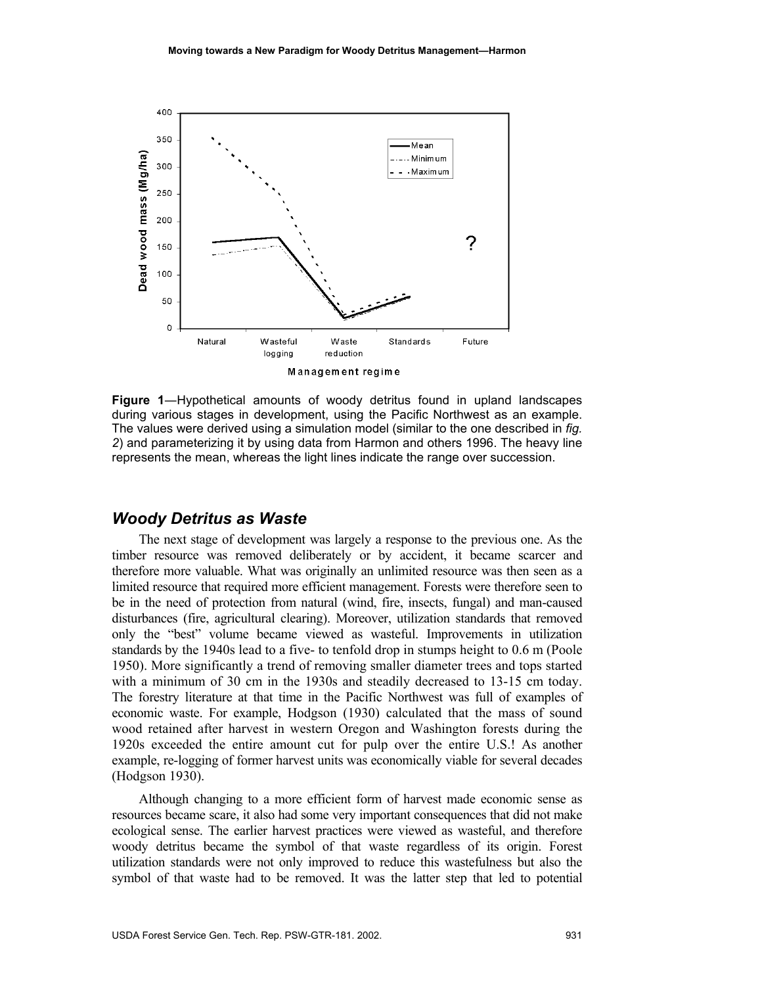

**Figure 1**―Hypothetical amounts of woody detritus found in upland landscapes during various stages in development, using the Pacific Northwest as an example. The values were derived using a simulation model (similar to the one described in *fig. 2*) and parameterizing it by using data from Harmon and others 1996. The heavy line represents the mean, whereas the light lines indicate the range over succession.

#### *Woody Detritus as Waste*

The next stage of development was largely a response to the previous one. As the timber resource was removed deliberately or by accident, it became scarcer and therefore more valuable. What was originally an unlimited resource was then seen as a limited resource that required more efficient management. Forests were therefore seen to be in the need of protection from natural (wind, fire, insects, fungal) and man-caused disturbances (fire, agricultural clearing). Moreover, utilization standards that removed only the "best" volume became viewed as wasteful. Improvements in utilization standards by the 1940s lead to a five- to tenfold drop in stumps height to 0.6 m (Poole 1950). More significantly a trend of removing smaller diameter trees and tops started with a minimum of 30 cm in the 1930s and steadily decreased to 13-15 cm today. The forestry literature at that time in the Pacific Northwest was full of examples of economic waste. For example, Hodgson (1930) calculated that the mass of sound wood retained after harvest in western Oregon and Washington forests during the 1920s exceeded the entire amount cut for pulp over the entire U.S.! As another example, re-logging of former harvest units was economically viable for several decades (Hodgson 1930).

Although changing to a more efficient form of harvest made economic sense as resources became scare, it also had some very important consequences that did not make ecological sense. The earlier harvest practices were viewed as wasteful, and therefore woody detritus became the symbol of that waste regardless of its origin. Forest utilization standards were not only improved to reduce this wastefulness but also the symbol of that waste had to be removed. It was the latter step that led to potential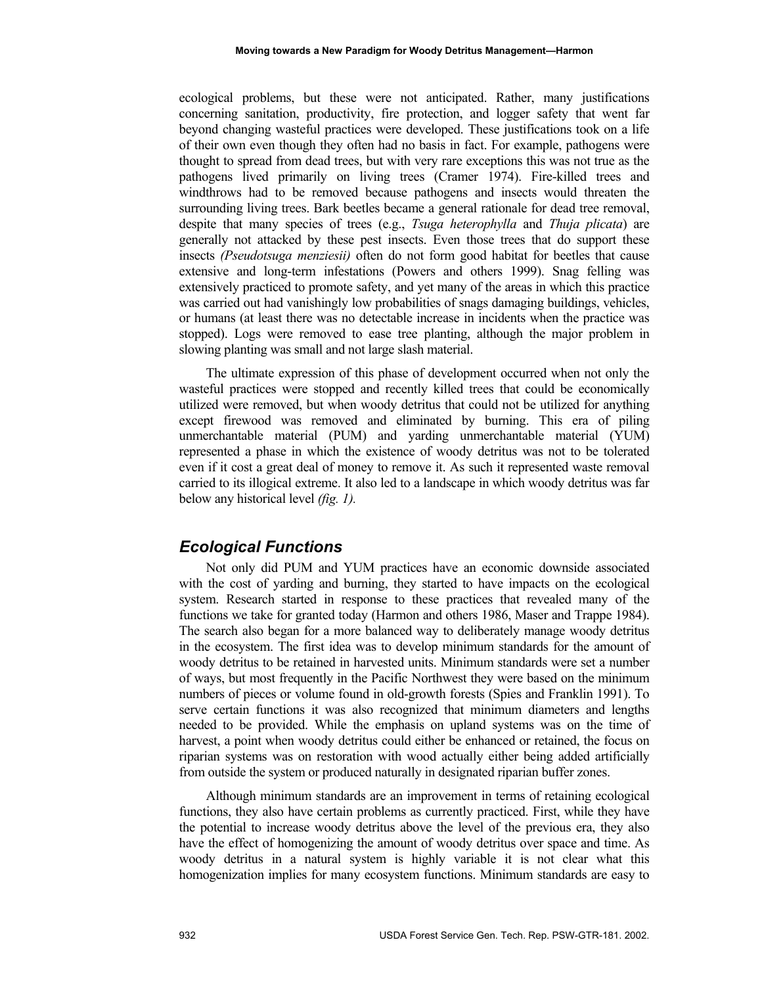ecological problems, but these were not anticipated. Rather, many justifications concerning sanitation, productivity, fire protection, and logger safety that went far beyond changing wasteful practices were developed. These justifications took on a life of their own even though they often had no basis in fact. For example, pathogens were thought to spread from dead trees, but with very rare exceptions this was not true as the pathogens lived primarily on living trees (Cramer 1974). Fire-killed trees and windthrows had to be removed because pathogens and insects would threaten the surrounding living trees. Bark beetles became a general rationale for dead tree removal, despite that many species of trees (e.g., *Tsuga heterophylla* and *Thuja plicata*) are generally not attacked by these pest insects. Even those trees that do support these insects *(Pseudotsuga menziesii)* often do not form good habitat for beetles that cause extensive and long-term infestations (Powers and others 1999). Snag felling was extensively practiced to promote safety, and yet many of the areas in which this practice was carried out had vanishingly low probabilities of snags damaging buildings, vehicles, or humans (at least there was no detectable increase in incidents when the practice was stopped). Logs were removed to ease tree planting, although the major problem in slowing planting was small and not large slash material.

The ultimate expression of this phase of development occurred when not only the wasteful practices were stopped and recently killed trees that could be economically utilized were removed, but when woody detritus that could not be utilized for anything except firewood was removed and eliminated by burning. This era of piling unmerchantable material (PUM) and yarding unmerchantable material (YUM) represented a phase in which the existence of woody detritus was not to be tolerated even if it cost a great deal of money to remove it. As such it represented waste removal carried to its illogical extreme. It also led to a landscape in which woody detritus was far below any historical level *(fig. 1).* 

### *Ecological Functions*

Not only did PUM and YUM practices have an economic downside associated with the cost of yarding and burning, they started to have impacts on the ecological system. Research started in response to these practices that revealed many of the functions we take for granted today (Harmon and others 1986, Maser and Trappe 1984). The search also began for a more balanced way to deliberately manage woody detritus in the ecosystem. The first idea was to develop minimum standards for the amount of woody detritus to be retained in harvested units. Minimum standards were set a number of ways, but most frequently in the Pacific Northwest they were based on the minimum numbers of pieces or volume found in old-growth forests (Spies and Franklin 1991). To serve certain functions it was also recognized that minimum diameters and lengths needed to be provided. While the emphasis on upland systems was on the time of harvest, a point when woody detritus could either be enhanced or retained, the focus on riparian systems was on restoration with wood actually either being added artificially from outside the system or produced naturally in designated riparian buffer zones.

Although minimum standards are an improvement in terms of retaining ecological functions, they also have certain problems as currently practiced. First, while they have the potential to increase woody detritus above the level of the previous era, they also have the effect of homogenizing the amount of woody detritus over space and time. As woody detritus in a natural system is highly variable it is not clear what this homogenization implies for many ecosystem functions. Minimum standards are easy to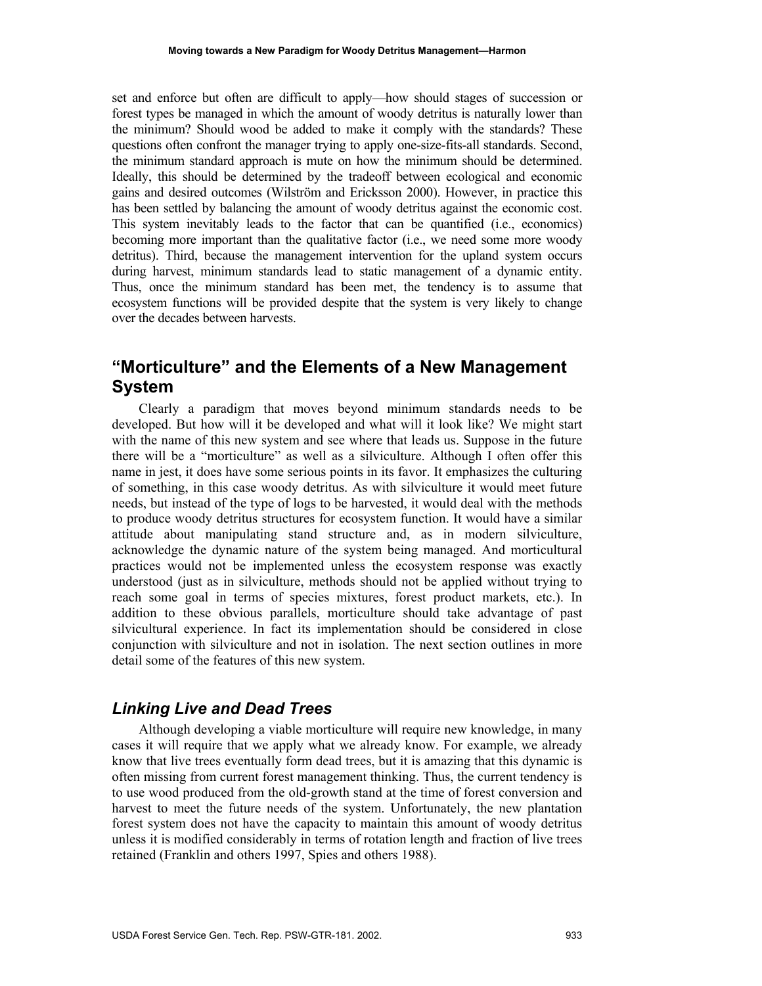set and enforce but often are difficult to apply—how should stages of succession or forest types be managed in which the amount of woody detritus is naturally lower than the minimum? Should wood be added to make it comply with the standards? These questions often confront the manager trying to apply one-size-fits-all standards. Second, the minimum standard approach is mute on how the minimum should be determined. Ideally, this should be determined by the tradeoff between ecological and economic gains and desired outcomes (Wilström and Ericksson 2000). However, in practice this has been settled by balancing the amount of woody detritus against the economic cost. This system inevitably leads to the factor that can be quantified (i.e., economics) becoming more important than the qualitative factor (i.e., we need some more woody detritus). Third, because the management intervention for the upland system occurs during harvest, minimum standards lead to static management of a dynamic entity. Thus, once the minimum standard has been met, the tendency is to assume that ecosystem functions will be provided despite that the system is very likely to change over the decades between harvests.

# **"Morticulture" and the Elements of a New Management System**

Clearly a paradigm that moves beyond minimum standards needs to be developed. But how will it be developed and what will it look like? We might start with the name of this new system and see where that leads us. Suppose in the future there will be a "morticulture" as well as a silviculture. Although I often offer this name in jest, it does have some serious points in its favor. It emphasizes the culturing of something, in this case woody detritus. As with silviculture it would meet future needs, but instead of the type of logs to be harvested, it would deal with the methods to produce woody detritus structures for ecosystem function. It would have a similar attitude about manipulating stand structure and, as in modern silviculture, acknowledge the dynamic nature of the system being managed. And morticultural practices would not be implemented unless the ecosystem response was exactly understood (just as in silviculture, methods should not be applied without trying to reach some goal in terms of species mixtures, forest product markets, etc.). In addition to these obvious parallels, morticulture should take advantage of past silvicultural experience. In fact its implementation should be considered in close conjunction with silviculture and not in isolation. The next section outlines in more detail some of the features of this new system.

# *Linking Live and Dead Trees*

Although developing a viable morticulture will require new knowledge, in many cases it will require that we apply what we already know. For example, we already know that live trees eventually form dead trees, but it is amazing that this dynamic is often missing from current forest management thinking. Thus, the current tendency is to use wood produced from the old-growth stand at the time of forest conversion and harvest to meet the future needs of the system. Unfortunately, the new plantation forest system does not have the capacity to maintain this amount of woody detritus unless it is modified considerably in terms of rotation length and fraction of live trees retained (Franklin and others 1997, Spies and others 1988).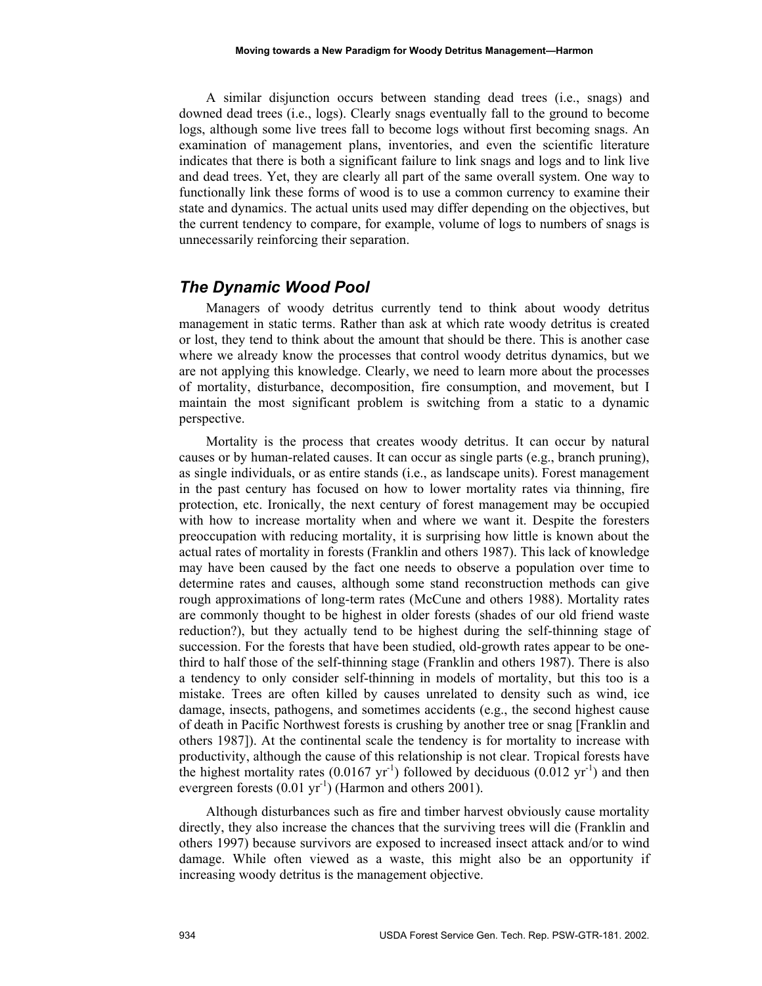A similar disjunction occurs between standing dead trees (i.e., snags) and downed dead trees (i.e., logs). Clearly snags eventually fall to the ground to become logs, although some live trees fall to become logs without first becoming snags. An examination of management plans, inventories, and even the scientific literature indicates that there is both a significant failure to link snags and logs and to link live and dead trees. Yet, they are clearly all part of the same overall system. One way to functionally link these forms of wood is to use a common currency to examine their state and dynamics. The actual units used may differ depending on the objectives, but the current tendency to compare, for example, volume of logs to numbers of snags is unnecessarily reinforcing their separation.

#### *The Dynamic Wood Pool*

Managers of woody detritus currently tend to think about woody detritus management in static terms. Rather than ask at which rate woody detritus is created or lost, they tend to think about the amount that should be there. This is another case where we already know the processes that control woody detritus dynamics, but we are not applying this knowledge. Clearly, we need to learn more about the processes of mortality, disturbance, decomposition, fire consumption, and movement, but I maintain the most significant problem is switching from a static to a dynamic perspective.

Mortality is the process that creates woody detritus. It can occur by natural causes or by human-related causes. It can occur as single parts (e.g., branch pruning), as single individuals, or as entire stands (i.e., as landscape units). Forest management in the past century has focused on how to lower mortality rates via thinning, fire protection, etc. Ironically, the next century of forest management may be occupied with how to increase mortality when and where we want it. Despite the foresters preoccupation with reducing mortality, it is surprising how little is known about the actual rates of mortality in forests (Franklin and others 1987). This lack of knowledge may have been caused by the fact one needs to observe a population over time to determine rates and causes, although some stand reconstruction methods can give rough approximations of long-term rates (McCune and others 1988). Mortality rates are commonly thought to be highest in older forests (shades of our old friend waste reduction?), but they actually tend to be highest during the self-thinning stage of succession. For the forests that have been studied, old-growth rates appear to be onethird to half those of the self-thinning stage (Franklin and others 1987). There is also a tendency to only consider self-thinning in models of mortality, but this too is a mistake. Trees are often killed by causes unrelated to density such as wind, ice damage, insects, pathogens, and sometimes accidents (e.g., the second highest cause of death in Pacific Northwest forests is crushing by another tree or snag [Franklin and others 1987]). At the continental scale the tendency is for mortality to increase with productivity, although the cause of this relationship is not clear. Tropical forests have the highest mortality rates (0.0167  $yr^{-1}$ ) followed by deciduous (0.012  $yr^{-1}$ ) and then evergreen forests  $(0.01 \text{ yr}^{-1})$  (Harmon and others 2001).

Although disturbances such as fire and timber harvest obviously cause mortality directly, they also increase the chances that the surviving trees will die (Franklin and others 1997) because survivors are exposed to increased insect attack and/or to wind damage. While often viewed as a waste, this might also be an opportunity if increasing woody detritus is the management objective.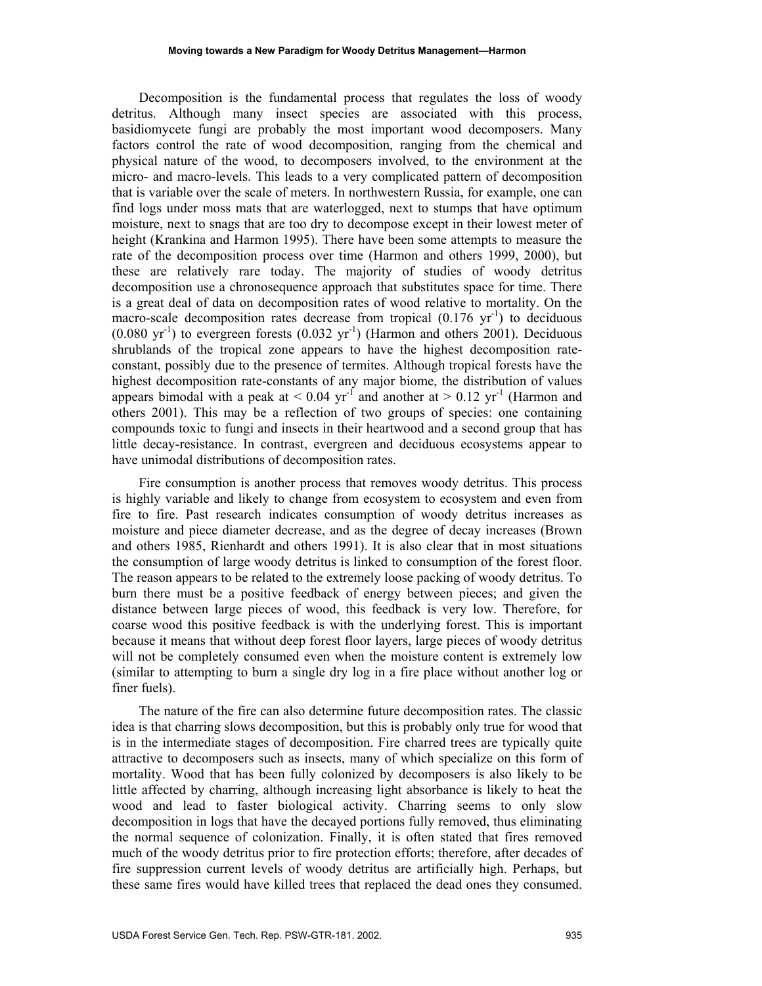Decomposition is the fundamental process that regulates the loss of woody detritus. Although many insect species are associated with this process, basidiomycete fungi are probably the most important wood decomposers. Many factors control the rate of wood decomposition, ranging from the chemical and physical nature of the wood, to decomposers involved, to the environment at the micro- and macro-levels. This leads to a very complicated pattern of decomposition that is variable over the scale of meters. In northwestern Russia, for example, one can find logs under moss mats that are waterlogged, next to stumps that have optimum moisture, next to snags that are too dry to decompose except in their lowest meter of height (Krankina and Harmon 1995). There have been some attempts to measure the rate of the decomposition process over time (Harmon and others 1999, 2000), but these are relatively rare today. The majority of studies of woody detritus decomposition use a chronosequence approach that substitutes space for time. There is a great deal of data on decomposition rates of wood relative to mortality. On the macro-scale decomposition rates decrease from tropical  $(0.176 \text{ yr}^{-1})$  to deciduous  $(0.080 \text{ yr}^{-1})$  to evergreen forests  $(0.032 \text{ yr}^{-1})$  (Harmon and others 2001). Deciduous shrublands of the tropical zone appears to have the highest decomposition rateconstant, possibly due to the presence of termites. Although tropical forests have the highest decomposition rate-constants of any major biome, the distribution of values appears bimodal with a peak at  $\leq 0.04$  yr<sup>-1</sup> and another at  $\geq 0.12$  yr<sup>-1</sup> (Harmon and others 2001). This may be a reflection of two groups of species: one containing compounds toxic to fungi and insects in their heartwood and a second group that has little decay-resistance. In contrast, evergreen and deciduous ecosystems appear to have unimodal distributions of decomposition rates.

Fire consumption is another process that removes woody detritus. This process is highly variable and likely to change from ecosystem to ecosystem and even from fire to fire. Past research indicates consumption of woody detritus increases as moisture and piece diameter decrease, and as the degree of decay increases (Brown and others 1985, Rienhardt and others 1991). It is also clear that in most situations the consumption of large woody detritus is linked to consumption of the forest floor. The reason appears to be related to the extremely loose packing of woody detritus. To burn there must be a positive feedback of energy between pieces; and given the distance between large pieces of wood, this feedback is very low. Therefore, for coarse wood this positive feedback is with the underlying forest. This is important because it means that without deep forest floor layers, large pieces of woody detritus will not be completely consumed even when the moisture content is extremely low (similar to attempting to burn a single dry log in a fire place without another log or finer fuels).

The nature of the fire can also determine future decomposition rates. The classic idea is that charring slows decomposition, but this is probably only true for wood that is in the intermediate stages of decomposition. Fire charred trees are typically quite attractive to decomposers such as insects, many of which specialize on this form of mortality. Wood that has been fully colonized by decomposers is also likely to be little affected by charring, although increasing light absorbance is likely to heat the wood and lead to faster biological activity. Charring seems to only slow decomposition in logs that have the decayed portions fully removed, thus eliminating the normal sequence of colonization. Finally, it is often stated that fires removed much of the woody detritus prior to fire protection efforts; therefore, after decades of fire suppression current levels of woody detritus are artificially high. Perhaps, but these same fires would have killed trees that replaced the dead ones they consumed.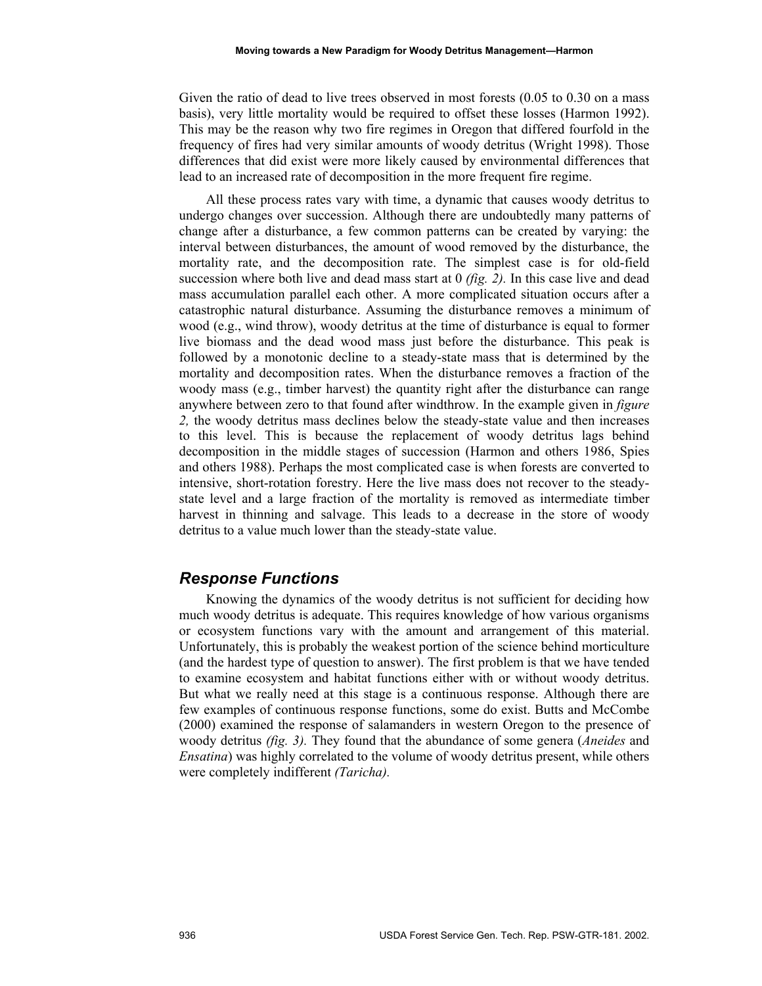Given the ratio of dead to live trees observed in most forests (0.05 to 0.30 on a mass basis), very little mortality would be required to offset these losses (Harmon 1992). This may be the reason why two fire regimes in Oregon that differed fourfold in the frequency of fires had very similar amounts of woody detritus (Wright 1998). Those differences that did exist were more likely caused by environmental differences that lead to an increased rate of decomposition in the more frequent fire regime.

All these process rates vary with time, a dynamic that causes woody detritus to undergo changes over succession. Although there are undoubtedly many patterns of change after a disturbance, a few common patterns can be created by varying: the interval between disturbances, the amount of wood removed by the disturbance, the mortality rate, and the decomposition rate. The simplest case is for old-field succession where both live and dead mass start at 0 *(fig. 2).* In this case live and dead mass accumulation parallel each other. A more complicated situation occurs after a catastrophic natural disturbance. Assuming the disturbance removes a minimum of wood (e.g., wind throw), woody detritus at the time of disturbance is equal to former live biomass and the dead wood mass just before the disturbance. This peak is followed by a monotonic decline to a steady-state mass that is determined by the mortality and decomposition rates. When the disturbance removes a fraction of the woody mass (e.g., timber harvest) the quantity right after the disturbance can range anywhere between zero to that found after windthrow. In the example given in *figure 2,* the woody detritus mass declines below the steady-state value and then increases to this level. This is because the replacement of woody detritus lags behind decomposition in the middle stages of succession (Harmon and others 1986, Spies and others 1988). Perhaps the most complicated case is when forests are converted to intensive, short-rotation forestry. Here the live mass does not recover to the steadystate level and a large fraction of the mortality is removed as intermediate timber harvest in thinning and salvage. This leads to a decrease in the store of woody detritus to a value much lower than the steady-state value.

#### *Response Functions*

Knowing the dynamics of the woody detritus is not sufficient for deciding how much woody detritus is adequate. This requires knowledge of how various organisms or ecosystem functions vary with the amount and arrangement of this material. Unfortunately, this is probably the weakest portion of the science behind morticulture (and the hardest type of question to answer). The first problem is that we have tended to examine ecosystem and habitat functions either with or without woody detritus. But what we really need at this stage is a continuous response. Although there are few examples of continuous response functions, some do exist. Butts and McCombe (2000) examined the response of salamanders in western Oregon to the presence of woody detritus *(fig. 3).* They found that the abundance of some genera (*Aneides* and *Ensatina*) was highly correlated to the volume of woody detritus present, while others were completely indifferent *(Taricha).*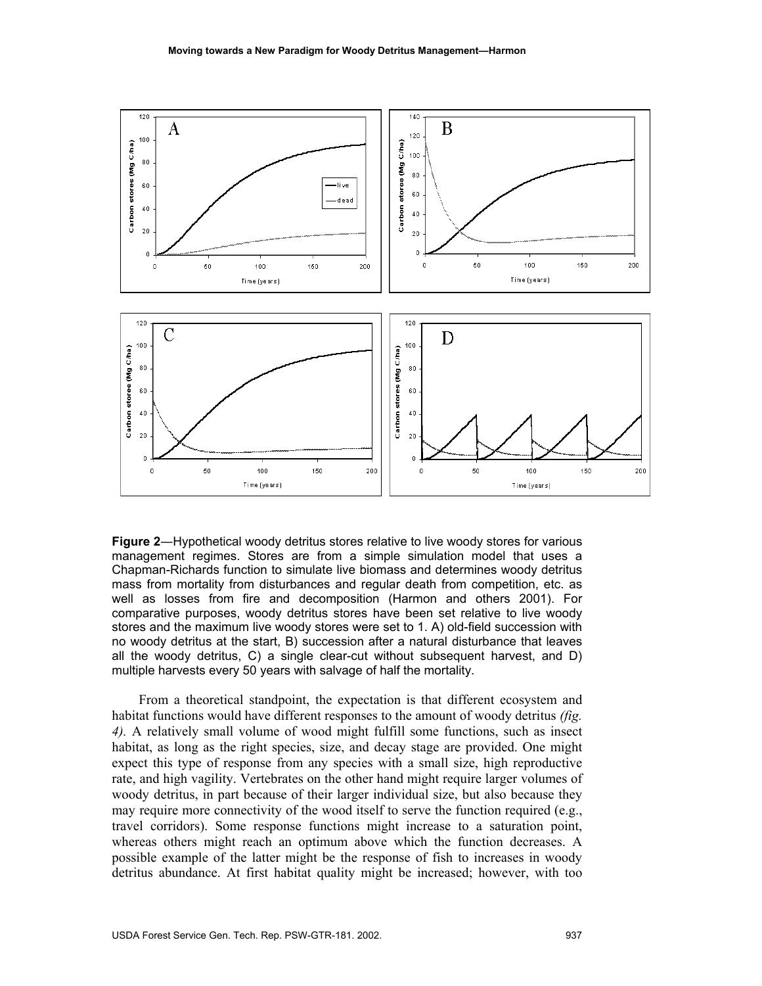

**Figure 2**―Hypothetical woody detritus stores relative to live woody stores for various management regimes. Stores are from a simple simulation model that uses a Chapman-Richards function to simulate live biomass and determines woody detritus mass from mortality from disturbances and regular death from competition, etc. as well as losses from fire and decomposition (Harmon and others 2001). For comparative purposes, woody detritus stores have been set relative to live woody stores and the maximum live woody stores were set to 1. A) old-field succession with no woody detritus at the start, B) succession after a natural disturbance that leaves all the woody detritus, C) a single clear-cut without subsequent harvest, and D) multiple harvests every 50 years with salvage of half the mortality.

From a theoretical standpoint, the expectation is that different ecosystem and habitat functions would have different responses to the amount of woody detritus *(fig. 4).* A relatively small volume of wood might fulfill some functions, such as insect habitat, as long as the right species, size, and decay stage are provided. One might expect this type of response from any species with a small size, high reproductive rate, and high vagility. Vertebrates on the other hand might require larger volumes of woody detritus, in part because of their larger individual size, but also because they may require more connectivity of the wood itself to serve the function required (e.g., travel corridors). Some response functions might increase to a saturation point, whereas others might reach an optimum above which the function decreases. A possible example of the latter might be the response of fish to increases in woody detritus abundance. At first habitat quality might be increased; however, with too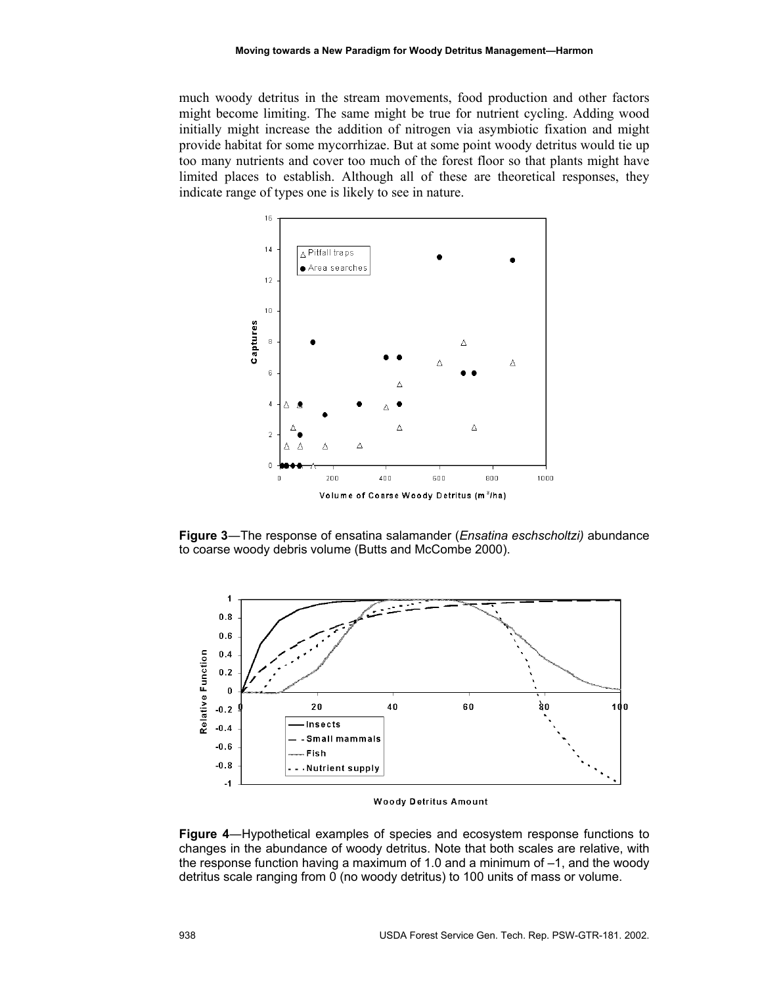much woody detritus in the stream movements, food production and other factors might become limiting. The same might be true for nutrient cycling. Adding wood initially might increase the addition of nitrogen via asymbiotic fixation and might provide habitat for some mycorrhizae. But at some point woody detritus would tie up too many nutrients and cover too much of the forest floor so that plants might have limited places to establish. Although all of these are theoretical responses, they indicate range of types one is likely to see in nature.



**Figure 3**―The response of ensatina salamander (*Ensatina eschscholtzi)* abundance to coarse woody debris volume (Butts and McCombe 2000).



**Woody Detritus Amount** 

**Figure 4**―Hypothetical examples of species and ecosystem response functions to changes in the abundance of woody detritus. Note that both scales are relative, with the response function having a maximum of 1.0 and a minimum of –1, and the woody detritus scale ranging from 0 (no woody detritus) to 100 units of mass or volume.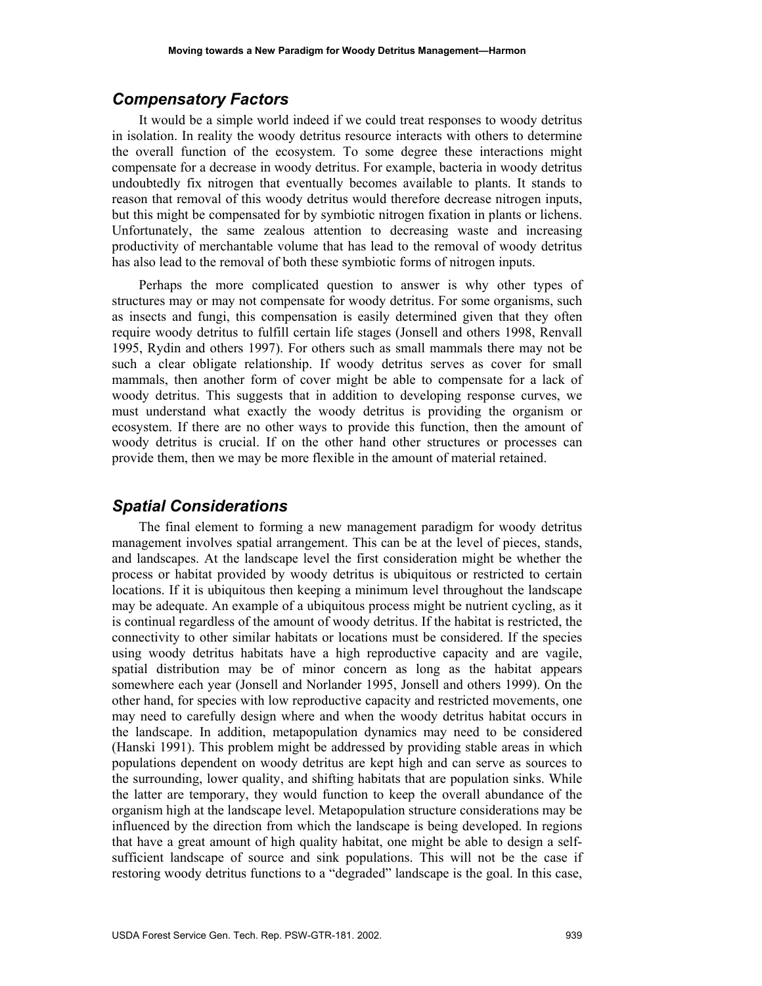# *Compensatory Factors*

It would be a simple world indeed if we could treat responses to woody detritus in isolation. In reality the woody detritus resource interacts with others to determine the overall function of the ecosystem. To some degree these interactions might compensate for a decrease in woody detritus. For example, bacteria in woody detritus undoubtedly fix nitrogen that eventually becomes available to plants. It stands to reason that removal of this woody detritus would therefore decrease nitrogen inputs, but this might be compensated for by symbiotic nitrogen fixation in plants or lichens. Unfortunately, the same zealous attention to decreasing waste and increasing productivity of merchantable volume that has lead to the removal of woody detritus has also lead to the removal of both these symbiotic forms of nitrogen inputs.

Perhaps the more complicated question to answer is why other types of structures may or may not compensate for woody detritus. For some organisms, such as insects and fungi, this compensation is easily determined given that they often require woody detritus to fulfill certain life stages (Jonsell and others 1998, Renvall 1995, Rydin and others 1997). For others such as small mammals there may not be such a clear obligate relationship. If woody detritus serves as cover for small mammals, then another form of cover might be able to compensate for a lack of woody detritus. This suggests that in addition to developing response curves, we must understand what exactly the woody detritus is providing the organism or ecosystem. If there are no other ways to provide this function, then the amount of woody detritus is crucial. If on the other hand other structures or processes can provide them, then we may be more flexible in the amount of material retained.

#### *Spatial Considerations*

The final element to forming a new management paradigm for woody detritus management involves spatial arrangement. This can be at the level of pieces, stands, and landscapes. At the landscape level the first consideration might be whether the process or habitat provided by woody detritus is ubiquitous or restricted to certain locations. If it is ubiquitous then keeping a minimum level throughout the landscape may be adequate. An example of a ubiquitous process might be nutrient cycling, as it is continual regardless of the amount of woody detritus. If the habitat is restricted, the connectivity to other similar habitats or locations must be considered. If the species using woody detritus habitats have a high reproductive capacity and are vagile, spatial distribution may be of minor concern as long as the habitat appears somewhere each year (Jonsell and Norlander 1995, Jonsell and others 1999). On the other hand, for species with low reproductive capacity and restricted movements, one may need to carefully design where and when the woody detritus habitat occurs in the landscape. In addition, metapopulation dynamics may need to be considered (Hanski 1991). This problem might be addressed by providing stable areas in which populations dependent on woody detritus are kept high and can serve as sources to the surrounding, lower quality, and shifting habitats that are population sinks. While the latter are temporary, they would function to keep the overall abundance of the organism high at the landscape level. Metapopulation structure considerations may be influenced by the direction from which the landscape is being developed. In regions that have a great amount of high quality habitat, one might be able to design a selfsufficient landscape of source and sink populations. This will not be the case if restoring woody detritus functions to a "degraded" landscape is the goal. In this case,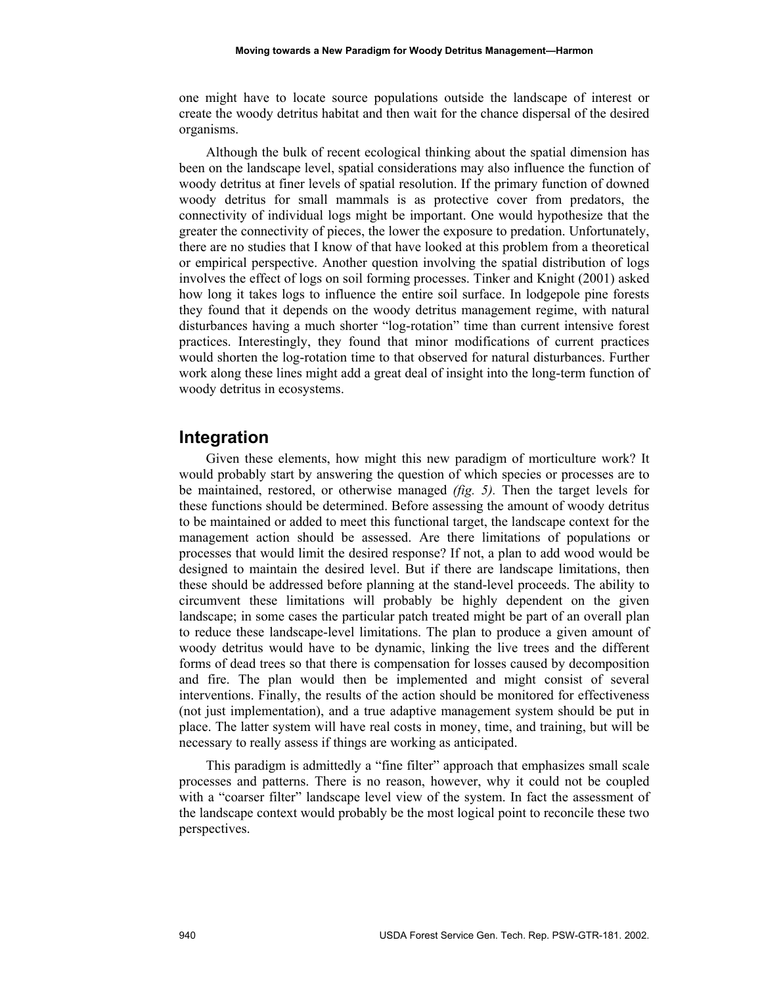one might have to locate source populations outside the landscape of interest or create the woody detritus habitat and then wait for the chance dispersal of the desired organisms.

Although the bulk of recent ecological thinking about the spatial dimension has been on the landscape level, spatial considerations may also influence the function of woody detritus at finer levels of spatial resolution. If the primary function of downed woody detritus for small mammals is as protective cover from predators, the connectivity of individual logs might be important. One would hypothesize that the greater the connectivity of pieces, the lower the exposure to predation. Unfortunately, there are no studies that I know of that have looked at this problem from a theoretical or empirical perspective. Another question involving the spatial distribution of logs involves the effect of logs on soil forming processes. Tinker and Knight (2001) asked how long it takes logs to influence the entire soil surface. In lodgepole pine forests they found that it depends on the woody detritus management regime, with natural disturbances having a much shorter "log-rotation" time than current intensive forest practices. Interestingly, they found that minor modifications of current practices would shorten the log-rotation time to that observed for natural disturbances. Further work along these lines might add a great deal of insight into the long-term function of woody detritus in ecosystems.

#### **Integration**

Given these elements, how might this new paradigm of morticulture work? It would probably start by answering the question of which species or processes are to be maintained, restored, or otherwise managed *(fig. 5).* Then the target levels for these functions should be determined. Before assessing the amount of woody detritus to be maintained or added to meet this functional target, the landscape context for the management action should be assessed. Are there limitations of populations or processes that would limit the desired response? If not, a plan to add wood would be designed to maintain the desired level. But if there are landscape limitations, then these should be addressed before planning at the stand-level proceeds. The ability to circumvent these limitations will probably be highly dependent on the given landscape; in some cases the particular patch treated might be part of an overall plan to reduce these landscape-level limitations. The plan to produce a given amount of woody detritus would have to be dynamic, linking the live trees and the different forms of dead trees so that there is compensation for losses caused by decomposition and fire. The plan would then be implemented and might consist of several interventions. Finally, the results of the action should be monitored for effectiveness (not just implementation), and a true adaptive management system should be put in place. The latter system will have real costs in money, time, and training, but will be necessary to really assess if things are working as anticipated.

This paradigm is admittedly a "fine filter" approach that emphasizes small scale processes and patterns. There is no reason, however, why it could not be coupled with a "coarser filter" landscape level view of the system. In fact the assessment of the landscape context would probably be the most logical point to reconcile these two perspectives.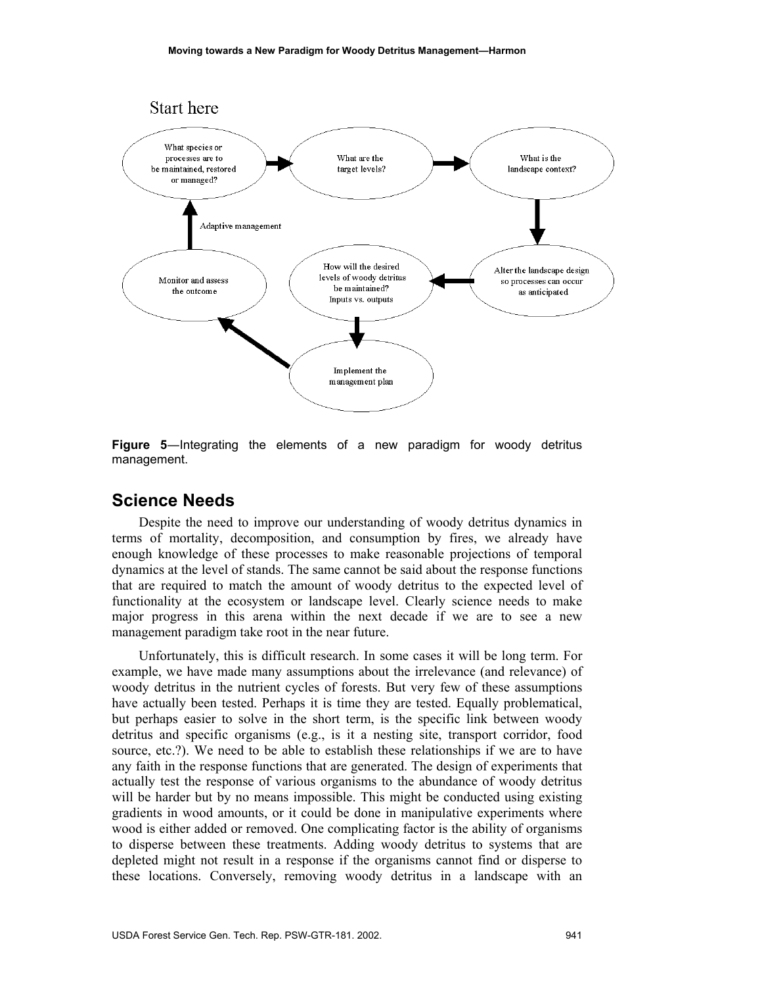

**Figure 5**―Integrating the elements of a new paradigm for woody detritus management.

# **Science Needs**

Despite the need to improve our understanding of woody detritus dynamics in terms of mortality, decomposition, and consumption by fires, we already have enough knowledge of these processes to make reasonable projections of temporal dynamics at the level of stands. The same cannot be said about the response functions that are required to match the amount of woody detritus to the expected level of functionality at the ecosystem or landscape level. Clearly science needs to make major progress in this arena within the next decade if we are to see a new management paradigm take root in the near future.

Unfortunately, this is difficult research. In some cases it will be long term. For example, we have made many assumptions about the irrelevance (and relevance) of woody detritus in the nutrient cycles of forests. But very few of these assumptions have actually been tested. Perhaps it is time they are tested. Equally problematical, but perhaps easier to solve in the short term, is the specific link between woody detritus and specific organisms (e.g., is it a nesting site, transport corridor, food source, etc.?). We need to be able to establish these relationships if we are to have any faith in the response functions that are generated. The design of experiments that actually test the response of various organisms to the abundance of woody detritus will be harder but by no means impossible. This might be conducted using existing gradients in wood amounts, or it could be done in manipulative experiments where wood is either added or removed. One complicating factor is the ability of organisms to disperse between these treatments. Adding woody detritus to systems that are depleted might not result in a response if the organisms cannot find or disperse to these locations. Conversely, removing woody detritus in a landscape with an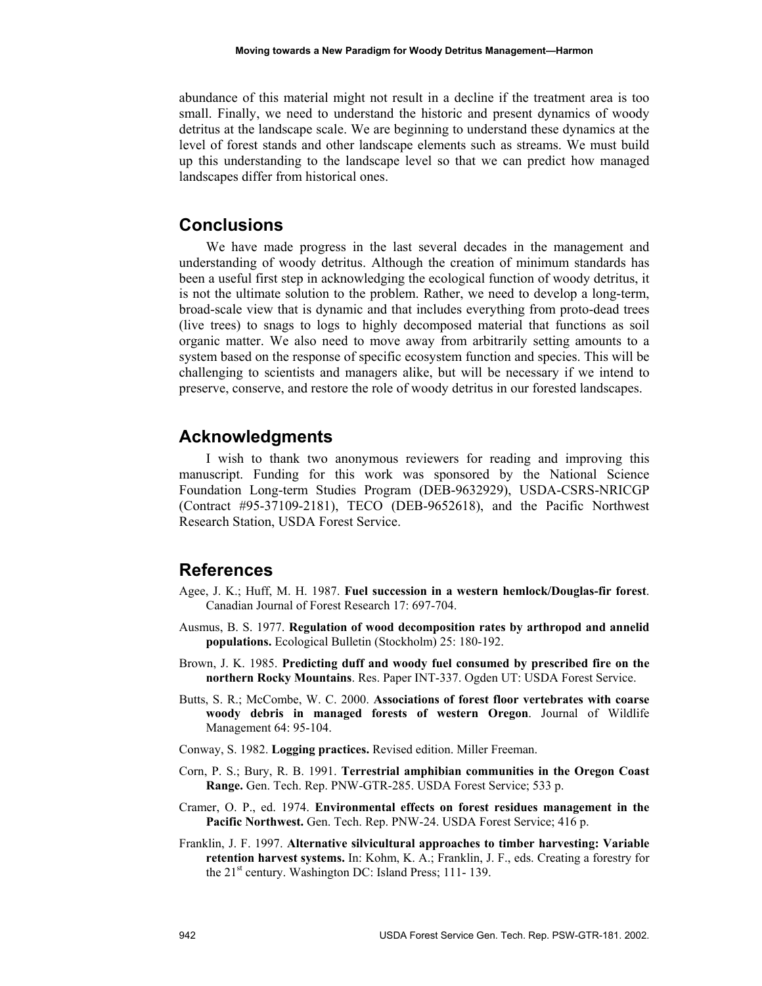abundance of this material might not result in a decline if the treatment area is too small. Finally, we need to understand the historic and present dynamics of woody detritus at the landscape scale. We are beginning to understand these dynamics at the level of forest stands and other landscape elements such as streams. We must build up this understanding to the landscape level so that we can predict how managed landscapes differ from historical ones.

# **Conclusions**

We have made progress in the last several decades in the management and understanding of woody detritus. Although the creation of minimum standards has been a useful first step in acknowledging the ecological function of woody detritus, it is not the ultimate solution to the problem. Rather, we need to develop a long-term, broad-scale view that is dynamic and that includes everything from proto-dead trees (live trees) to snags to logs to highly decomposed material that functions as soil organic matter. We also need to move away from arbitrarily setting amounts to a system based on the response of specific ecosystem function and species. This will be challenging to scientists and managers alike, but will be necessary if we intend to preserve, conserve, and restore the role of woody detritus in our forested landscapes.

# **Acknowledgments**

I wish to thank two anonymous reviewers for reading and improving this manuscript. Funding for this work was sponsored by the National Science Foundation Long-term Studies Program (DEB-9632929), USDA-CSRS-NRICGP (Contract #95-37109-2181), TECO (DEB-9652618), and the Pacific Northwest Research Station, USDA Forest Service.

# **References**

- Agee, J. K.; Huff, M. H. 1987. **Fuel succession in a western hemlock/Douglas-fir forest**. Canadian Journal of Forest Research 17: 697-704.
- Ausmus, B. S. 1977. **Regulation of wood decomposition rates by arthropod and annelid populations.** Ecological Bulletin (Stockholm) 25: 180-192.
- Brown, J. K. 1985. **Predicting duff and woody fuel consumed by prescribed fire on the northern Rocky Mountains**. Res. Paper INT-337. Ogden UT: USDA Forest Service.
- Butts, S. R.; McCombe, W. C. 2000. **Associations of forest floor vertebrates with coarse woody debris in managed forests of western Oregon**. Journal of Wildlife Management 64: 95-104.
- Conway, S. 1982. **Logging practices.** Revised edition. Miller Freeman.
- Corn, P. S.; Bury, R. B. 1991. **Terrestrial amphibian communities in the Oregon Coast Range.** Gen. Tech. Rep. PNW-GTR-285. USDA Forest Service; 533 p.
- Cramer, O. P., ed. 1974. **Environmental effects on forest residues management in the Pacific Northwest.** Gen. Tech. Rep. PNW-24. USDA Forest Service; 416 p.
- Franklin, J. F. 1997. **Alternative silvicultural approaches to timber harvesting: Variable retention harvest systems.** In: Kohm, K. A.; Franklin, J. F., eds. Creating a forestry for the  $21<sup>st</sup>$  century. Washington DC: Island Press; 111-139.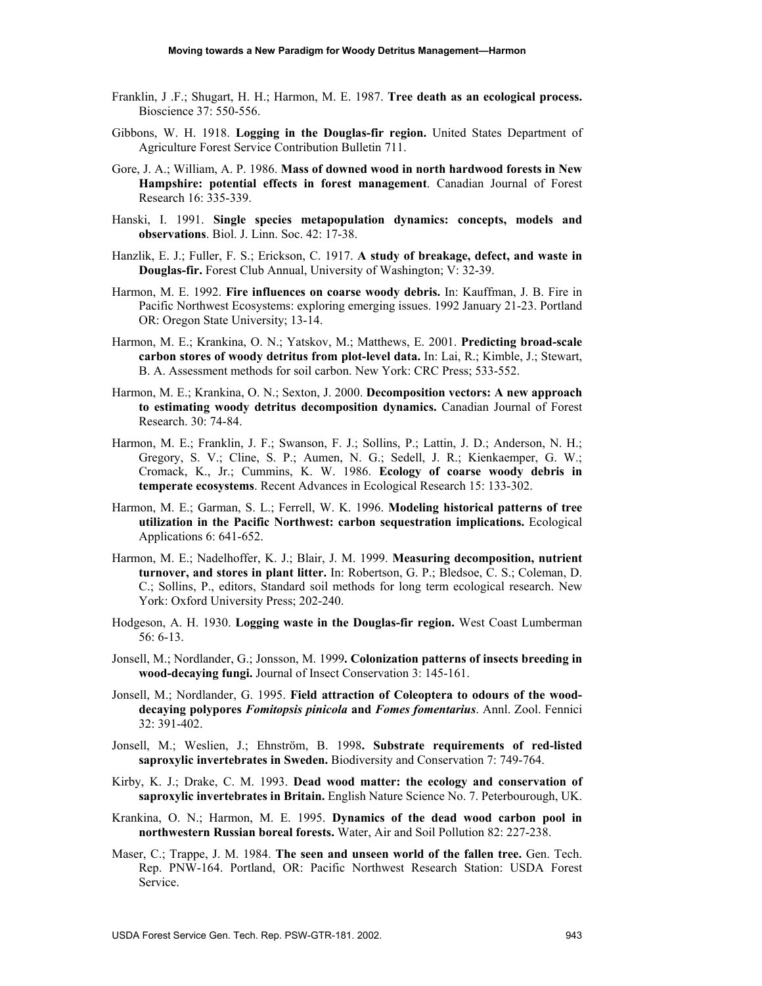- Franklin, J .F.; Shugart, H. H.; Harmon, M. E. 1987. **Tree death as an ecological process.** Bioscience 37: 550-556.
- Gibbons, W. H. 1918. **Logging in the Douglas-fir region.** United States Department of Agriculture Forest Service Contribution Bulletin 711.
- Gore, J. A.; William, A. P. 1986. **Mass of downed wood in north hardwood forests in New Hampshire: potential effects in forest management**. Canadian Journal of Forest Research 16: 335-339.
- Hanski, I. 1991. **Single species metapopulation dynamics: concepts, models and observations**. Biol. J. Linn. Soc. 42: 17-38.
- Hanzlik, E. J.; Fuller, F. S.; Erickson, C. 1917. **A study of breakage, defect, and waste in Douglas-fir.** Forest Club Annual, University of Washington; V: 32-39.
- Harmon, M. E. 1992. **Fire influences on coarse woody debris.** In: Kauffman, J. B. Fire in Pacific Northwest Ecosystems: exploring emerging issues. 1992 January 21-23. Portland OR: Oregon State University; 13-14.
- Harmon, M. E.; Krankina, O. N.; Yatskov, M.; Matthews, E. 2001. **Predicting broad-scale carbon stores of woody detritus from plot-level data.** In: Lai, R.; Kimble, J.; Stewart, B. A. Assessment methods for soil carbon. New York: CRC Press; 533-552.
- Harmon, M. E.; Krankina, O. N.; Sexton, J. 2000. **Decomposition vectors: A new approach to estimating woody detritus decomposition dynamics.** Canadian Journal of Forest Research. 30: 74-84.
- Harmon, M. E.; Franklin, J. F.; Swanson, F. J.; Sollins, P.; Lattin, J. D.; Anderson, N. H.; Gregory, S. V.; Cline, S. P.; Aumen, N. G.; Sedell, J. R.; Kienkaemper, G. W.; Cromack, K., Jr.; Cummins, K. W. 1986. **Ecology of coarse woody debris in temperate ecosystems**. Recent Advances in Ecological Research 15: 133-302.
- Harmon, M. E.; Garman, S. L.; Ferrell, W. K. 1996. **Modeling historical patterns of tree utilization in the Pacific Northwest: carbon sequestration implications.** Ecological Applications 6: 641-652.
- Harmon, M. E.; Nadelhoffer, K. J.; Blair, J. M. 1999. **Measuring decomposition, nutrient turnover, and stores in plant litter.** In: Robertson, G. P.; Bledsoe, C. S.; Coleman, D. C.; Sollins, P., editors, Standard soil methods for long term ecological research. New York: Oxford University Press; 202-240.
- Hodgeson, A. H. 1930. **Logging waste in the Douglas-fir region.** West Coast Lumberman 56: 6-13.
- Jonsell, M.; Nordlander, G.; Jonsson, M. 1999**. Colonization patterns of insects breeding in wood-decaying fungi.** Journal of Insect Conservation 3: 145-161.
- Jonsell, M.; Nordlander, G. 1995. **Field attraction of Coleoptera to odours of the wooddecaying polypores** *Fomitopsis pinicola* **and** *Fomes fomentarius*. Annl. Zool. Fennici 32: 391-402.
- Jonsell, M.; Weslien, J.; Ehnström, B. 1998**. Substrate requirements of red-listed saproxylic invertebrates in Sweden.** Biodiversity and Conservation 7: 749-764.
- Kirby, K. J.; Drake, C. M. 1993. **Dead wood matter: the ecology and conservation of saproxylic invertebrates in Britain.** English Nature Science No. 7. Peterbourough, UK.
- Krankina, O. N.; Harmon, M. E. 1995. **Dynamics of the dead wood carbon pool in northwestern Russian boreal forests.** Water, Air and Soil Pollution 82: 227-238.
- Maser, C.; Trappe, J. M. 1984. **The seen and unseen world of the fallen tree.** Gen. Tech. Rep. PNW-164. Portland, OR: Pacific Northwest Research Station: USDA Forest Service.